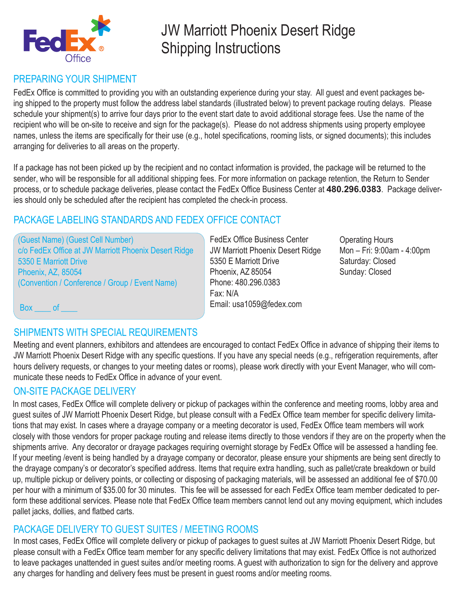

# JW Marriott Phoenix Desert Ridge Shipping Instructions

### PREPARING YOUR SHIPMENT

FedEx Office is committed to providing you with an outstanding experience during your stay. All guest and event packages being shipped to the property must follow the address label standards (illustrated below) to prevent package routing delays. Please schedule your shipment(s) to arrive four days prior to the event start date to avoid additional storage fees. Use the name of the recipient who will be on-site to receive and sign for the package(s). Please do not address shipments using property employee names, unless the items are specifically for their use (e.g., hotel specifications, rooming lists, or signed documents); this includes arranging for deliveries to all areas on the property.

If a package has not been picked up by the recipient and no contact information is provided, the package will be returned to the sender, who will be responsible for all additional shipping fees. For more information on package retention, the Return to Sender process, or to schedule package deliveries, please contact the FedEx Office Business Center at **480.296.0383**. Package deliveries should only be scheduled after the recipient has completed the check-in process.

#### PACKAGE LABELING STANDARDS AND FEDEX OFFICE CONTACT

(Guest Name) (Guest Cell Number) c/o FedEx Office at JW Marriott Phoenix Desert Ridge 5350 E Marriott Drive Phoenix, AZ, 85054 (Convention / Conference / Group / Event Name)

FedEx Office Business Center JW Marriott Phoenix Desert Ridge 5350 E Marriott Drive Phoenix, AZ 85054 Phone: 480.296.0383 Fax: N/A Email: usa1059@fedex.com

Operating Hours Mon – Fri: 9:00am - 4:00pm Saturday: Closed Sunday: Closed

Box of

#### SHIPMENTS WITH SPECIAL REQUIREMENTS

Meeting and event planners, exhibitors and attendees are encouraged to contact FedEx Office in advance of shipping their items to JW Marriott Phoenix Desert Ridge with any specific questions. If you have any special needs (e.g., refrigeration requirements, after hours delivery requests, or changes to your meeting dates or rooms), please work directly with your Event Manager, who will communicate these needs to FedEx Office in advance of your event.

#### ON-SITE PACKAGE DELIVERY

In most cases, FedEx Office will complete delivery or pickup of packages within the conference and meeting rooms, lobby area and guest suites of JW Marriott Phoenix Desert Ridge, but please consult with a FedEx Office team member for specific delivery limitations that may exist. In cases where a drayage company or a meeting decorator is used, FedEx Office team members will work closely with those vendors for proper package routing and release items directly to those vendors if they are on the property when the shipments arrive. Any decorator or drayage packages requiring overnight storage by FedEx Office will be assessed a handling fee. If your meeting /event is being handled by a drayage company or decorator, please ensure your shipments are being sent directly to the drayage company's or decorator's specified address. Items that require extra handling, such as pallet/crate breakdown or build up, multiple pickup or delivery points, or collecting or disposing of packaging materials, will be assessed an additional fee of \$70.00 per hour with a minimum of \$35.00 for 30 minutes. This fee will be assessed for each FedEx Office team member dedicated to perform these additional services. Please note that FedEx Office team members cannot lend out any moving equipment, which includes pallet jacks, dollies, and flatbed carts.

#### PACKAGE DELIVERY TO GUEST SUITES / MEETING ROOMS

In most cases, FedEx Office will complete delivery or pickup of packages to guest suites at JW Marriott Phoenix Desert Ridge, but please consult with a FedEx Office team member for any specific delivery limitations that may exist. FedEx Office is not authorized to leave packages unattended in guest suites and/or meeting rooms. A guest with authorization to sign for the delivery and approve any charges for handling and delivery fees must be present in guest rooms and/or meeting rooms.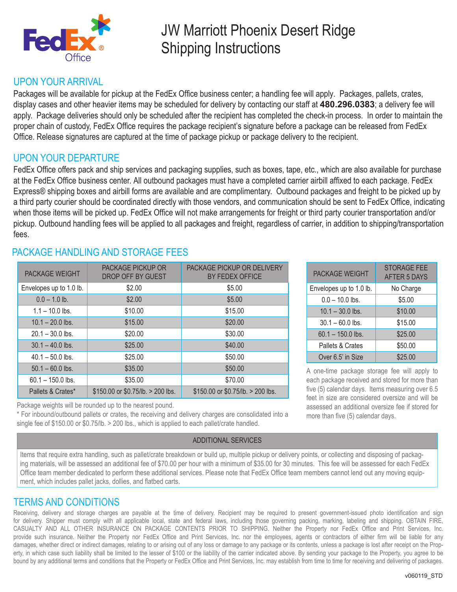

# JW Marriott Phoenix Desert Ridge Shipping Instructions

#### UPON YOUR ARRIVAL

Packages will be available for pickup at the FedEx Office business center; a handling fee will apply. Packages, pallets, crates, display cases and other heavier items may be scheduled for delivery by contacting our staff at **480.296.0383**; a delivery fee will apply. Package deliveries should only be scheduled after the recipient has completed the check-in process. In order to maintain the proper chain of custody, FedEx Office requires the package recipient's signature before a package can be released from FedEx Office. Release signatures are captured at the time of package pickup or package delivery to the recipient.

#### UPON YOUR DEPARTURE

FedEx Office offers pack and ship services and packaging supplies, such as boxes, tape, etc., which are also available for purchase at the FedEx Office business center. All outbound packages must have a completed carrier airbill affixed to each package. FedEx Express® shipping boxes and airbill forms are available and are complimentary. Outbound packages and freight to be picked up by a third party courier should be coordinated directly with those vendors, and communication should be sent to FedEx Office, indicating when those items will be picked up. FedEx Office will not make arrangements for freight or third party courier transportation and/or pickup. Outbound handling fees will be applied to all packages and freight, regardless of carrier, in addition to shipping/transportation fees.

| <b>PACKAGE WEIGHT</b>   | <b>PACKAGE PICKUP OR</b><br>DROP OFF BY GUEST | PACKAGE PICKUP OR DELIVERY<br>BY FEDEX OFFICE |
|-------------------------|-----------------------------------------------|-----------------------------------------------|
| Envelopes up to 1.0 lb. | \$2.00                                        | \$5.00                                        |
| $0.0 - 1.0$ lb.         | \$2.00                                        | \$5.00                                        |
| $1.1 - 10.0$ lbs.       | \$10.00                                       | \$15.00                                       |
| $10.1 - 20.0$ lbs.      | \$15.00                                       | \$20.00                                       |
| $20.1 - 30.0$ lbs.      | \$20.00                                       | \$30.00                                       |
| $30.1 - 40.0$ lbs.      | \$25.00                                       | \$40.00                                       |
| $40.1 - 50.0$ lbs.      | \$25.00                                       | \$50.00                                       |
| $50.1 - 60.0$ lbs.      | \$35.00                                       | \$50.00                                       |
| $60.1 - 150.0$ lbs.     | \$35.00                                       | \$70.00                                       |
| Pallets & Crates*       | \$150.00 or \$0.75/lb. > 200 lbs.             | \$150.00 or \$0.75/lb. > 200 lbs.             |

#### PACKAGE HANDLING AND STORAGE FFES

Package weights will be rounded up to the nearest pound.

\* For inbound/outbound pallets or crates, the receiving and delivery charges are consolidated into a single fee of \$150.00 or \$0.75/lb. > 200 lbs., which is applied to each pallet/crate handled.

#### ADDITIONAL SERVICES

PACKAGE WEIGHT STORAGE FEE AFTER 5 DAYS Envelopes up to 1.0 lb. No Charge  $0.0 - 10.0$  lbs.  $$5.00$  $10.1 - 30.0$  lbs.  $\qquad \qquad$  \$10.00  $30.1 - 60.0$  lbs. \$15.00  $60.1 - 150.0$  lbs.  $$25.00$ Pallets & Crates | \$50.00 Over 6.5' in Size \$25.00

A one-time package storage fee will apply to each package received and stored for more than five (5) calendar days. Items measuring over 6.5 feet in size are considered oversize and will be assessed an additional oversize fee if stored for more than five (5) calendar days.

Items that require extra handling, such as pallet/crate breakdown or build up, multiple pickup or delivery points, or collecting and disposing of packaging materials, will be assessed an additional fee of \$70.00 per hour with a minimum of \$35.00 for 30 minutes. This fee will be assessed for each FedEx Office team member dedicated to perform these additional services. Please note that FedEx Office team members cannot lend out any moving equipment, which includes pallet jacks, dollies, and flatbed carts.

#### TERMS AND CONDITIONS

Receiving, delivery and storage charges are payable at the time of delivery. Recipient may be required to present government-issued photo identification and sign for delivery. Shipper must comply with all applicable local, state and federal laws, including those governing packing, marking, labeling and shipping. OBTAIN FIRE, CASUALTY AND ALL OTHER INSURANCE ON PACKAGE CONTENTS PRIOR TO SHIPPING. Neither the Property nor FedEx Office and Print Services, Inc. provide such insurance. Neither the Property nor FedEx Office and Print Services, Inc. nor the employees, agents or contractors of either firm will be liable for any damages, whether direct or indirect damages, relating to or arising out of any loss or damage to any package or its contents, unless a package is lost after receipt on the Property, in which case such liability shall be limited to the lesser of \$100 or the liability of the carrier indicated above. By sending your package to the Property, you agree to be bound by any additional terms and conditions that the Property or FedEx Office and Print Services, Inc. may establish from time to time for receiving and delivering of packages.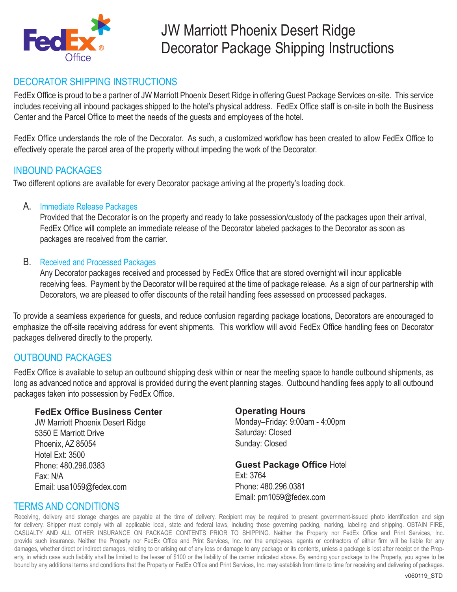

#### DECORATOR SHIPPING INSTRUCTIONS

FedEx Office is proud to be a partner of JW Marriott Phoenix Desert Ridge in offering Guest Package Services on-site. This service includes receiving all inbound packages shipped to the hotel's physical address. FedEx Office staff is on-site in both the Business Center and the Parcel Office to meet the needs of the guests and employees of the hotel.

FedEx Office understands the role of the Decorator. As such, a customized workflow has been created to allow FedEx Office to effectively operate the parcel area of the property without impeding the work of the Decorator.

#### INBOUND PACKAGES

Two different options are available for every Decorator package arriving at the property's loading dock.

#### A. Immediate Release Packages

Provided that the Decorator is on the property and ready to take possession/custody of the packages upon their arrival, FedEx Office will complete an immediate release of the Decorator labeled packages to the Decorator as soon as packages are received from the carrier.

#### B. Received and Processed Packages

Any Decorator packages received and processed by FedEx Office that are stored overnight will incur applicable receiving fees. Payment by the Decorator will be required at the time of package release. As a sign of our partnership with Decorators, we are pleased to offer discounts of the retail handling fees assessed on processed packages.

To provide a seamless experience for guests, and reduce confusion regarding package locations, Decorators are encouraged to emphasize the off-site receiving address for event shipments. This workflow will avoid FedEx Office handling fees on Decorator packages delivered directly to the property.

#### OUTBOUND PACKAGES

FedEx Office is available to setup an outbound shipping desk within or near the meeting space to handle outbound shipments, as long as advanced notice and approval is provided during the event planning stages. Outbound handling fees apply to all outbound packages taken into possession by FedEx Office.

#### **FedEx Office Business Center**

JW Marriott Phoenix Desert Ridge 5350 E Marriott Drive Phoenix, AZ 85054 Hotel Ext: 3500 Phone: 480.296.0383 Fax: N/A Email: usa1059@fedex.com

#### **Operating Hours**

Monday–Friday: 9:00am - 4:00pm Saturday: Closed Sunday: Closed

**Guest Package Office Hotel** Ext: 3764 Phone: 480.296.0381 Email: pm1059@fedex.com

#### TERMS AND CONDITIONS

Receiving, delivery and storage charges are payable at the time of delivery. Recipient may be required to present government-issued photo identification and sign for delivery. Shipper must comply with all applicable local, state and federal laws, including those governing packing, marking, labeling and shipping. OBTAIN FIRE, CASUALTY AND ALL OTHER INSURANCE ON PACKAGE CONTENTS PRIOR TO SHIPPING. Neither the Property nor FedEx Office and Print Services, Inc. provide such insurance. Neither the Property nor FedEx Office and Print Services, Inc. nor the employees, agents or contractors of either firm will be liable for any damages, whether direct or indirect damages, relating to or arising out of any loss or damage to any package or its contents, unless a package is lost after receipt on the Property, in which case such liability shall be limited to the lesser of \$100 or the liability of the carrier indicated above. By sending your package to the Property, you agree to be bound by any additional terms and conditions that the Property or FedEx Office and Print Services, Inc. may establish from time to time for receiving and delivering of packages.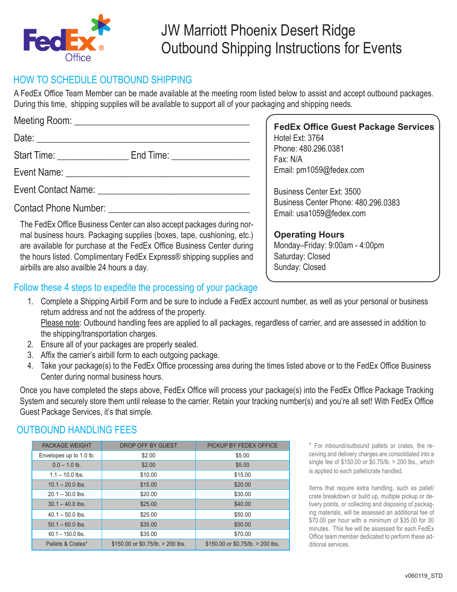

## JW Marriott Phoenix Desert Ridge Outbound Shipping Instructions for Events

#### HOW TO SCHEDULE OUTBOUND SHIPPING

A FedEx Office Team Member can be made available at the meeting room listed below to assist and accept outbound packages. During this time, shipping supplies will be available to support all of your packaging and shipping needs.

|                                                               | <b>FedEx Office Guest Package Services</b>                      |
|---------------------------------------------------------------|-----------------------------------------------------------------|
|                                                               | Hotel Ext: 3764                                                 |
| Start Time: End Time: End Time:                               | Phone: 480.296.0381<br>Fax: N/A                                 |
|                                                               | Email: pm1059@fedex.com                                         |
| Event Contact Name: The Contact Order of the Contact Name:    | Business Center Ext: 3500                                       |
| Contact Phone Number: University of the Contact Phone Number: | Business Center Phone: 480,296,0383<br>Email: usa1059@fedex.com |

The FedEx Office Business Center can also accept packages during normal business hours. Packaging supplies (boxes, tape, cushioning, etc.) are available for purchase at the FedEx Office Business Center during the hours listed. Complimentary FedEx Express® shipping supplies and airbills are also availble 24 hours a day.

**Operating Hours** Monday–Friday: 9:00am - 4:00pm Saturday: Closed Sunday: Closed

#### Follow these 4 steps to expedite the processing of your package

- 1. Complete a Shipping Airbill Form and be sure to include a FedEx account number, as well as your personal or business return address and not the address of the property. Please note: Outbound handling fees are applied to all packages, regardless of carrier, and are assessed in addition to the shipping/transportation charges.
- 2. Ensure all of your packages are properly sealed.
- 3. Affix the carrier's airbill form to each outgoing package.
- 4. Take your package(s) to the FedEx Office processing area during the times listed above or to the FedEx Office Business Center during normal business hours.

Once you have completed the steps above, FedEx Office will process your package(s) into the FedEx Office Package Tracking System and securely store them until release to the carrier. Retain your tracking number(s) and you're all set! With FedEx Office Guest Package Services, it's that simple.

#### OUTBOUND HANDLING FEES

| <b>PACKAGE WEIGHT</b>   | DROP OFF BY GUEST                      | PICKUP BY FEDEX OFFICE                 |
|-------------------------|----------------------------------------|----------------------------------------|
| Envelopes up to 1.0 lb. | \$2.00                                 | \$5.00                                 |
| $0.0 - 1.0$ lb.         | \$2.00                                 | \$5.00                                 |
| $1.1 - 10.0$ lbs.       | \$10.00                                | \$15.00                                |
| $10.1 - 20.0$ lbs.      | \$15.00                                | \$20.00                                |
| $20.1 - 30.0$ lbs.      | \$20.00                                | \$30.00                                |
| $30.1 - 40.0$ lbs.      | \$25.00                                | \$40.00                                |
| $40.1 - 50.0$ lbs.      | \$25.00                                | \$50.00                                |
| $50.1 - 60.0$ lbs.      | \$35.00                                | \$50.00                                |
| $60.1 - 150.0$ lbs.     | \$35.00                                | \$70.00                                |
| Pallets & Crates*       | $$150.00$ or $$0.75$ /lb. $> 200$ lbs. | $$150.00$ or $$0.75$ /lb. $> 200$ lbs. |

\* For inbound/outbound pallets or crates, the receiving and delivery charges are consolidated into a single fee of \$150.00 or \$0.75/lb. > 200 lbs., which is applied to each pallet/crate handled.

Items that require extra handling, such as pallet/ crate breakdown or build up, multiple pickup or delivery points, or collecting and disposing of packaging materials, will be assessed an additional fee of \$70.00 per hour with a minimum of \$35.00 for 30 minutes. This fee will be assessed for each FedEx Office team member dedicated to perform these additional services.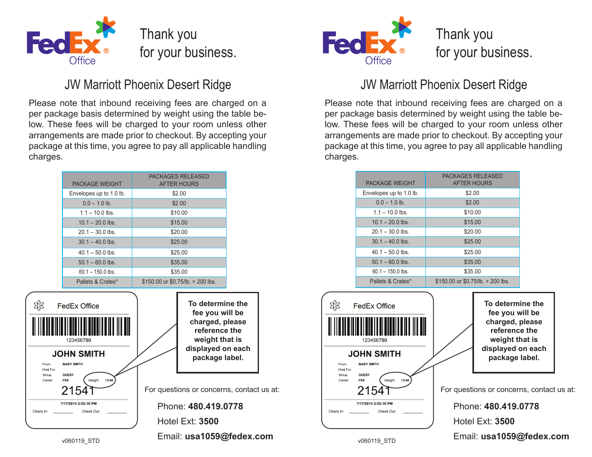

## JW Marriott Phoenix Desert Ridge JW Marriott Phoenix Desert Ridge

Please note that inbound receiving fees are charged on a per package basis determined by weight using the table below. These fees will be charged to your room unless other arrangements are made prior to checkout. By accepting your package at this time, you agree to pay all applicable handling charges.

| <b>PACKAGE WEIGHT</b>   | <b>PACKAGES RELEASED</b><br><b>AFTER HOURS</b> |
|-------------------------|------------------------------------------------|
| Envelopes up to 1.0 lb. | \$2.00                                         |
| $0.0 - 1.0$ lb.         | \$2.00                                         |
| $1.1 - 10.0$ lbs.       | \$10.00                                        |
| $101 - 200$ lbs         | \$15.00                                        |
| $201 - 300$ lbs         | \$20.00                                        |
| $301 - 400$ lbs         | \$25.00                                        |
| $40.1 - 50.0$ lbs.      | \$25.00                                        |
| $50.1 - 60.0$ lbs.      | \$35.00                                        |
| $601 - 1500$ lbs        | \$35.00                                        |
| Pallets & Crates*       | $$150.00$ or $$0.75$ /lb. $> 200$ lbs.         |





Please note that inbound receiving fees are charged on a per package basis determined by weight using the table below. These fees will be charged to your room unless other arrangements are made prior to checkout. By accepting your package at this time, you agree to pay all applicable handling charges.

| <b>PACKAGE WEIGHT</b>   | <b>PACKAGES RELEASED</b><br><b>AFTER HOURS</b> |
|-------------------------|------------------------------------------------|
| Envelopes up to 1.0 lb. | \$2.00                                         |
| $0.0 - 1.0$ lb.         | \$2.00                                         |
| $11 - 100$ lbs          | \$10.00                                        |
| $101 - 200$ lbs         | \$15.00                                        |
| $20.1 - 30.0$ lbs.      | \$20.00                                        |
| $30.1 - 40.0$ lbs.      | \$25.00                                        |
| $40.1 - 50.0$ lbs.      | \$25.00                                        |
| $50.1 - 60.0$ lbs.      | \$35.00                                        |
| $60.1 - 150.0$ lbs.     | \$35.00                                        |
| Pallets & Crates*       | $$150.00$ or $$0.75$ /lb. $> 200$ lbs.         |

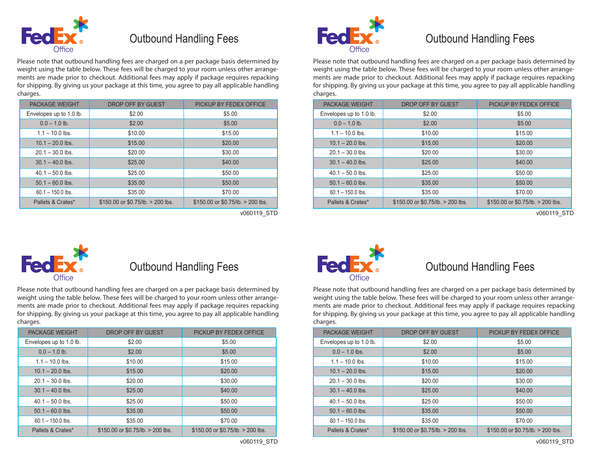

### Outbound Handling Fees **FedEX** Outbound Handling Fees

Please note that outbound handling fees are charged on a per package basis determined by weight using the table below. These fees will be charged to your room unless other arrangements are made prior to checkout. Additional fees may apply if package requires repacking for shipping. By giving us your package at this time, you agree to pay all applicable handling charges.

| <b>PACKAGE WEIGHT</b>   | DROP OFF BY GUEST                      | PICKUP BY FEDEX OFFICE            |
|-------------------------|----------------------------------------|-----------------------------------|
| Envelopes up to 1.0 lb. | \$2.00                                 | \$5.00                            |
| $0.0 - 1.0$ lb.         | \$2.00                                 | \$5.00                            |
| $1.1 - 10.0$ lbs.       | \$10.00                                | \$15.00                           |
| $10.1 - 20.0$ lbs.      | \$15.00                                | \$20.00                           |
| $20.1 - 30.0$ lbs.      | \$20.00                                | \$30.00                           |
| $30.1 - 40.0$ lbs.      | \$25.00                                | \$40.00                           |
| $40.1 - 50.0$ lbs.      | \$25.00                                | \$50.00                           |
| $50.1 - 60.0$ lbs.      | \$35.00                                | \$50.00                           |
| $60.1 - 150.0$ lbs.     | \$35.00                                | \$70.00                           |
| Pallets & Crates*       | $$150.00$ or $$0.75$ /lb. $> 200$ lbs. | \$150.00 or \$0.75/lb. > 200 lbs. |



Please note that outbound handling fees are charged on a per package basis determined by weight using the table below. These fees will be charged to your room unless other arrangements are made prior to checkout. Additional fees may apply if package requires repacking for shipping. By giving us your package at this time, you agree to pay all applicable handling charges.

| <b>PACKAGE WEIGHT</b>   | DROP OFF BY GUEST                      | PICKUP BY FEDEX OFFICE                 |
|-------------------------|----------------------------------------|----------------------------------------|
| Envelopes up to 1.0 lb. | \$2.00                                 | \$5.00                                 |
| $0.0 - 1.0$ lb.         | \$2.00                                 | \$5.00                                 |
| $1.1 - 10.0$ lbs.       | \$10.00                                | \$15.00                                |
| $10.1 - 20.0$ lbs.      | \$15.00                                | \$20.00                                |
| $20.1 - 30.0$ lbs.      | \$20.00                                | \$30.00                                |
| $30.1 - 40.0$ lbs.      | \$25.00                                | \$40.00                                |
| $40.1 - 50.0$ lbs.      | \$25.00                                | \$50.00                                |
| $50.1 - 60.0$ lbs.      | \$35.00                                | \$50.00                                |
| $60.1 - 150.0$ lbs.     | \$35.00                                | \$70.00                                |
| Pallets & Crates*       | $$150.00$ or $$0.75$ /lb. $> 200$ lbs. | $$150.00$ or $$0.75$ /lb. $> 200$ lbs. |

v060119\_STD v060119\_STD



## Outbound Handling Fees **TedEX** Outbound Handling Fees

Please note that outbound handling fees are charged on a per package basis determined by weight using the table below. These fees will be charged to your room unless other arrangements are made prior to checkout. Additional fees may apply if package requires repacking for shipping. By giving us your package at this time, you agree to pay all applicable handling charges.

| <b>PACKAGE WEIGHT</b>   | DROP OFF BY GUEST                 | PICKUP BY FEDEX OFFICE                 |
|-------------------------|-----------------------------------|----------------------------------------|
| Envelopes up to 1.0 lb. | \$2.00                            | \$5.00                                 |
| $0.0 - 1.0$ lb.         | \$2.00                            | \$5.00                                 |
| $1.1 - 10.0$ lbs.       | \$10.00                           | \$15.00                                |
| $10.1 - 20.0$ lbs.      | \$15.00                           | \$20.00                                |
| $20.1 - 30.0$ lbs.      | \$20.00                           | \$30.00                                |
| $30.1 - 40.0$ lbs.      | \$25.00                           | \$40.00                                |
| $40.1 - 50.0$ lbs.      | \$25.00                           | \$50.00                                |
| $50.1 - 60.0$ lbs.      | \$35.00                           | \$50.00                                |
| $60.1 - 150.0$ lbs.     | \$35.00                           | \$70.00                                |
| Pallets & Crates*       | \$150.00 or \$0.75/lb. > 200 lbs. | $$150.00$ or $$0.75$ /lb. $> 200$ lbs. |



Please note that outbound handling fees are charged on a per package basis determined by weight using the table below. These fees will be charged to your room unless other arrangements are made prior to checkout. Additional fees may apply if package requires repacking for shipping. By giving us your package at this time, you agree to pay all applicable handling charges.

| <b>PACKAGE WEIGHT</b>   | DROP OFF BY GUEST                      | PICKUP BY FEDEX OFFICE                 |
|-------------------------|----------------------------------------|----------------------------------------|
| Envelopes up to 1.0 lb. | \$2.00                                 | \$5.00                                 |
| $0.0 - 1.0$ lbs.        | \$2.00                                 | \$5.00                                 |
| $1.1 - 10.0$ lbs.       | \$10.00                                | \$15.00                                |
| $10.1 - 20.0$ lbs.      | \$15.00                                | \$20.00                                |
| $20.1 - 30.0$ lbs.      | \$20.00                                | \$30.00                                |
| $30.1 - 40.0$ lbs.      | \$25.00                                | \$40.00                                |
| $40.1 - 50.0$ lbs.      | \$25.00                                | \$50.00                                |
| $50.1 - 60.0$ lbs.      | \$35.00                                | \$50.00                                |
| $60.1 - 150.0$ lbs.     | \$35.00                                | \$70.00                                |
| Pallets & Crates*       | $$150.00$ or $$0.75$ /lb. $> 200$ lbs. | $$150.00$ or $$0.75$ /lb. $> 200$ lbs. |